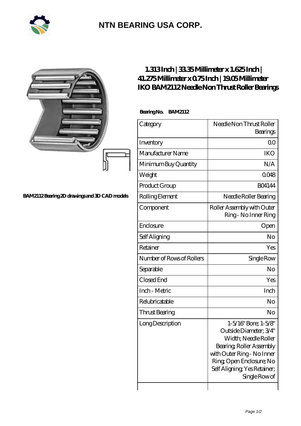

## **[NTN BEARING USA CORP.](https://m.2rw-antriebselemente.de)**

|                                              | $1.313$ Inch $ 3335$ Millimeter x $1.625$ Inch $ $<br>41.275Millimeterx075Inch   1905Millimeter<br>IKO BAM2112 Needle Non Thrust Roller Bearings |                                                                                                                                                                                                              |
|----------------------------------------------|--------------------------------------------------------------------------------------------------------------------------------------------------|--------------------------------------------------------------------------------------------------------------------------------------------------------------------------------------------------------------|
|                                              | BearingNo. BAM2112                                                                                                                               |                                                                                                                                                                                                              |
|                                              | Category                                                                                                                                         | Needle Non Thrust Roller<br>Bearings                                                                                                                                                                         |
|                                              | Inventory                                                                                                                                        | 0 <sub>0</sub>                                                                                                                                                                                               |
|                                              | Manufacturer Name                                                                                                                                | <b>IKO</b>                                                                                                                                                                                                   |
|                                              | Minimum Buy Quantity                                                                                                                             | N/A                                                                                                                                                                                                          |
|                                              | Weight                                                                                                                                           | 0048                                                                                                                                                                                                         |
|                                              | Product Group                                                                                                                                    | <b>BO4144</b>                                                                                                                                                                                                |
| BAM2112Bearing 2D drawings and 3D CAD models | Rolling Element                                                                                                                                  | Needle Roller Bearing                                                                                                                                                                                        |
|                                              | Component                                                                                                                                        | Roller Assembly with Outer<br>Ring - No Inner Ring                                                                                                                                                           |
|                                              | Enclosure                                                                                                                                        | Open                                                                                                                                                                                                         |
|                                              | Self Aligning                                                                                                                                    | N <sub>o</sub>                                                                                                                                                                                               |
|                                              | Retainer                                                                                                                                         | Yes                                                                                                                                                                                                          |
|                                              | Number of Rows of Rollers                                                                                                                        | Single Row                                                                                                                                                                                                   |
|                                              | Separable                                                                                                                                        | N <sub>o</sub>                                                                                                                                                                                               |
|                                              | Closed End                                                                                                                                       | Yes                                                                                                                                                                                                          |
|                                              | Inch - Metric                                                                                                                                    | Inch                                                                                                                                                                                                         |
|                                              | Relubricatable                                                                                                                                   | N <sub>o</sub>                                                                                                                                                                                               |
|                                              | Thrust Bearing                                                                                                                                   | $\rm No$                                                                                                                                                                                                     |
|                                              | Long Description                                                                                                                                 | 1-5/16" Bore; 1-5/8"<br>Outside Diameter: 3/4"<br>Width; Needle Roller<br>Bearing, Roller Assembly<br>with Outer Ring - No Inner<br>Ring Open Enclosure; No<br>Self Aligning, Yes Retainer;<br>Single Row of |

 $\overline{\phantom{a}}$ 

 $\mathbf{I}$